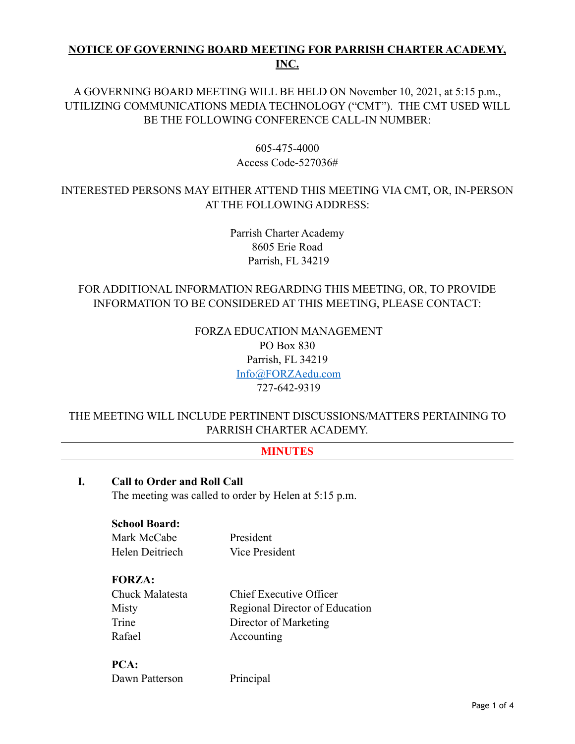# **NOTICE OF GOVERNING BOARD MEETING FOR PARRISH CHARTER ACADEMY, INC.**

A GOVERNING BOARD MEETING WILL BE HELD ON November 10, 2021, at 5:15 p.m., UTILIZING COMMUNICATIONS MEDIA TECHNOLOGY ("CMT"). THE CMT USED WILL BE THE FOLLOWING CONFERENCE CALL-IN NUMBER:

> 605-475-4000 Access Code-527036#

## INTERESTED PERSONS MAY EITHER ATTEND THIS MEETING VIA CMT, OR, IN-PERSON AT THE FOLLOWING ADDRESS:

Parrish Charter Academy 8605 Erie Road Parrish, FL 34219

# FOR ADDITIONAL INFORMATION REGARDING THIS MEETING, OR, TO PROVIDE INFORMATION TO BE CONSIDERED AT THIS MEETING, PLEASE CONTACT:

 FORZA EDUCATION MANAGEMENT PO Box 830 Parrish, FL 34219 [Info@FORZAedu.com](mailto:Info@FORZAedu.com) 727-642-9319

## THE MEETING WILL INCLUDE PERTINENT DISCUSSIONS/MATTERS PERTAINING TO PARRISH CHARTER ACADEMY.

### **MINUTES**

**I. Call to Order and Roll Call**

The meeting was called to order by Helen at 5:15 p.m.

**School Board:**

Mark McCabe President Helen Deitriech Vice President

### **FORZA:**

Rafael Accounting

Chuck Malatesta Chief Executive Officer Misty Regional Director of Education Trine Director of Marketing

# **PCA:**

Dawn Patterson Principal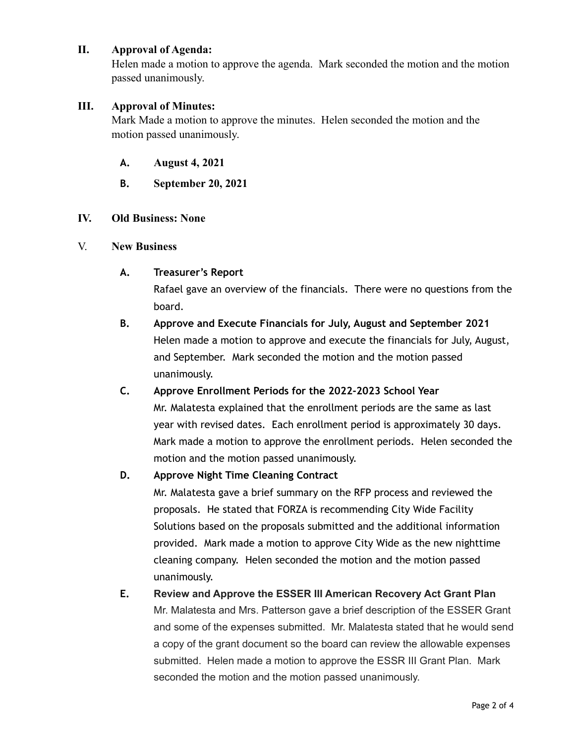### **II. Approval of Agenda:**

Helen made a motion to approve the agenda. Mark seconded the motion and the motion passed unanimously.

### **III. Approval of Minutes:**

Mark Made a motion to approve the minutes. Helen seconded the motion and the motion passed unanimously.

- **A. August 4, 2021**
- **B. September 20, 2021**

### **IV. Old Business: None**

- V. **New Business** 
	- **A. Treasurer's Report**

Rafael gave an overview of the financials. There were no questions from the board.

- **B. Approve and Execute Financials for July, August and September 2021** Helen made a motion to approve and execute the financials for July, August, and September. Mark seconded the motion and the motion passed unanimously.
- **C. Approve Enrollment Periods for the 2022-2023 School Year** Mr. Malatesta explained that the enrollment periods are the same as last year with revised dates. Each enrollment period is approximately 30 days. Mark made a motion to approve the enrollment periods. Helen seconded the motion and the motion passed unanimously.
- **D. Approve Night Time Cleaning Contract**

Mr. Malatesta gave a brief summary on the RFP process and reviewed the proposals. He stated that FORZA is recommending City Wide Facility Solutions based on the proposals submitted and the additional information provided. Mark made a motion to approve City Wide as the new nighttime cleaning company. Helen seconded the motion and the motion passed unanimously.

**E. Review and Approve the ESSER III American Recovery Act Grant Plan** Mr. Malatesta and Mrs. Patterson gave a brief description of the ESSER Grant and some of the expenses submitted. Mr. Malatesta stated that he would send a copy of the grant document so the board can review the allowable expenses submitted. Helen made a motion to approve the ESSR III Grant Plan. Mark seconded the motion and the motion passed unanimously.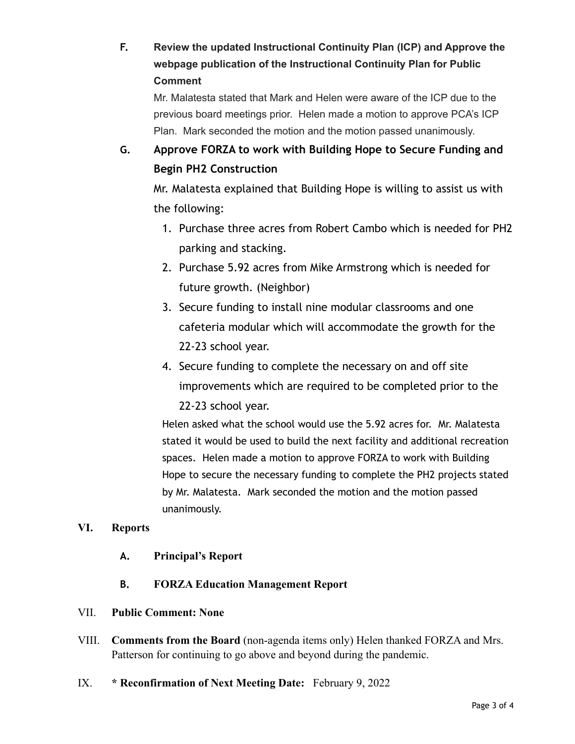**F. Review the updated Instructional Continuity Plan (ICP) and Approve the webpage publication of the Instructional Continuity Plan for Public Comment**

Mr. Malatesta stated that Mark and Helen were aware of the ICP due to the previous board meetings prior. Helen made a motion to approve PCA's ICP Plan. Mark seconded the motion and the motion passed unanimously.

**G. Approve FORZA to work with Building Hope to Secure Funding and Begin PH2 Construction**

Mr. Malatesta explained that Building Hope is willing to assist us with the following:

- 1. Purchase three acres from Robert Cambo which is needed for PH2 parking and stacking.
- 2. Purchase 5.92 acres from Mike Armstrong which is needed for future growth. (Neighbor)
- 3. Secure funding to install nine modular classrooms and one cafeteria modular which will accommodate the growth for the 22-23 school year.
- 4. Secure funding to complete the necessary on and off site improvements which are required to be completed prior to the 22-23 school year.

Helen asked what the school would use the 5.92 acres for. Mr. Malatesta stated it would be used to build the next facility and additional recreation spaces. Helen made a motion to approve FORZA to work with Building Hope to secure the necessary funding to complete the PH2 projects stated by Mr. Malatesta. Mark seconded the motion and the motion passed unanimously.

## **VI. Reports**

- **A. Principal's Report**
- **B. FORZA Education Management Report**
- VII. **Public Comment: None**
- VIII. **Comments from the Board** (non-agenda items only) Helen thanked FORZA and Mrs. Patterson for continuing to go above and beyond during the pandemic.
- IX. **\* Reconfirmation of Next Meeting Date:** February 9, 2022